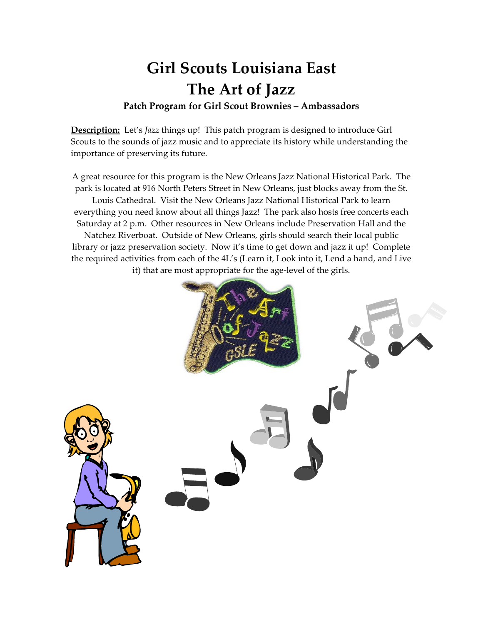# **Girl Scouts Louisiana East The Art of Jazz**

#### **Patch Program for Girl Scout Brownies – Ambassadors**

**Description:** Let's *Jazz* things up! This patch program is designed to introduce Girl Scouts to the sounds of jazz music and to appreciate its history while understanding the importance of preserving its future.

A great resource for this program is the New Orleans Jazz National Historical Park. The park is located at 916 North Peters Street in New Orleans, just blocks away from the St. Louis Cathedral. Visit the New Orleans Jazz National Historical Park to learn everything you need know about all things Jazz! The park also hosts free concerts each Saturday at 2 p.m. Other resources in New Orleans include Preservation Hall and the Natchez Riverboat. Outside of New Orleans, girls should search their local public library or jazz preservation society. Now it's time to get down and jazz it up! Complete the required activities from each of the 4L's (Learn it, Look into it, Lend a hand, and Live it) that are most appropriate for the age‐level of the girls.

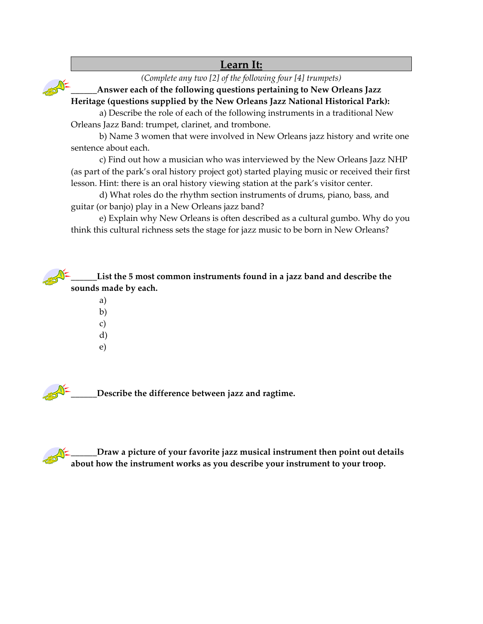## **Learn It:**

*(Complete any two [2] of the following four [4] trumpets)*

**\_\_\_\_\_\_Answer each of the following questions pertaining to New Orleans Jazz Heritage (questions supplied by the New Orleans Jazz National Historical Park):**

a) Describe the role of each of the following instruments in a traditional New Orleans Jazz Band: trumpet, clarinet, and trombone.

b) Name 3 women that were involved in New Orleans jazz history and write one sentence about each.

c) Find out how a musician who was interviewed by the New Orleans Jazz NHP (as part of the park's oral history project got) started playing music or received their first lesson. Hint: there is an oral history viewing station at the park's visitor center.

d) What roles do the rhythm section instruments of drums, piano, bass, and guitar (or banjo) play in a New Orleans jazz band?

e) Explain why New Orleans is often described as a cultural gumbo. Why do you think this cultural richness sets the stage for jazz music to be born in New Orleans?

**\_\_\_\_\_\_List the 5 most common instruments found in a jazz band and describe the sounds made by each.**

> a) b) c) d)

e)

**\_\_\_\_\_\_Describe the difference between jazz and ragtime.**

**\_\_\_\_\_\_Draw a picture of your favorite jazz musical instrument then point out details about how the instrument works as you describe your instrument to your troop.**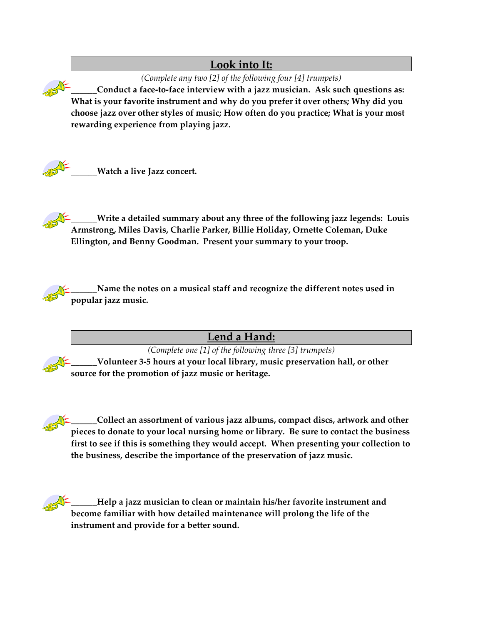## **Look into It:**

*(Complete any two [2] of the following four [4] trumpets)*

**\_\_\_\_\_\_Conduct a face‐to‐face interview with a jazz musician. Ask such questions as: What is your favorite instrument and why do you prefer it over others; Why did you choose jazz over other styles of music; How often do you practice; What is your most rewarding experience from playing jazz.**



**\_\_\_\_\_\_Watch a live Jazz concert.**

**\_\_\_\_\_\_Write a detailed summary about any three of the following jazz legends: Louis Armstrong, Miles Davis, Charlie Parker, Billie Holiday, Ornette Coleman, Duke Ellington, and Benny Goodman. Present your summary to your troop.**

**\_\_\_\_\_\_Name the notes on a musical staff and recognize the different notes used in popular jazz music.**

**Lend a Hand:** 

*(Complete one [1] of the following three [3] trumpets)* **\_\_\_\_\_\_Volunteer 3‐5 hours at your local library, music preservation hall, or other source for the promotion of jazz music or heritage.**

**\_\_\_\_\_\_Collect an assortment of various jazz albums, compact discs, artwork and other pieces to donate to your local nursing home or library. Be sure to contact the business first to see if this is something they would accept. When presenting your collection to the business, describe the importance of the preservation of jazz music.**

**\_\_\_\_\_\_Help a jazz musician to clean or maintain his/her favorite instrument and become familiar with how detailed maintenance will prolong the life of the instrument and provide for a better sound.**